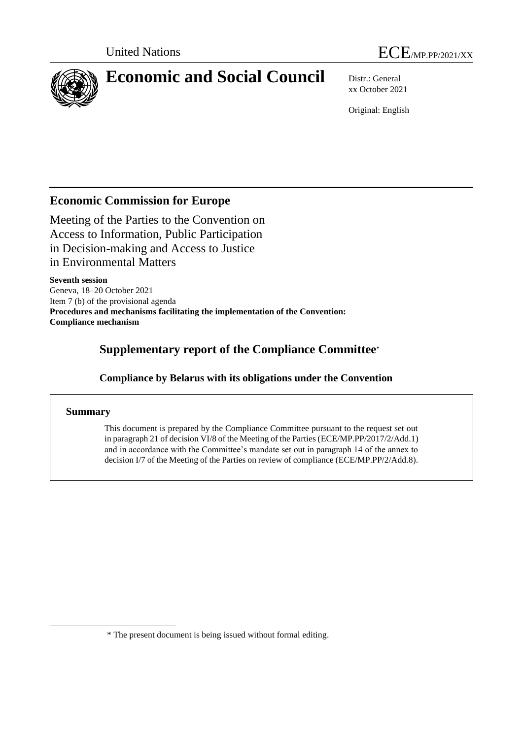



# **Economic and Social Council** Distr.: General

xx October 2021

Original: English

# **Economic Commission for Europe**

Meeting of the Parties to the Convention on Access to Information, Public Participation in Decision-making and Access to Justice in Environmental Matters

**Seventh session** Geneva, 18–20 October 2021 Item 7 (b) of the provisional agenda **Procedures and mechanisms facilitating the implementation of the Convention: Compliance mechanism**

# **Supplementary report of the Compliance Committee\***

# **Compliance by Belarus with its obligations under the Convention**

### **Summary**

This document is prepared by the Compliance Committee pursuant to the request set out in paragraph 21 of decision VI/8 of the Meeting of the Parties (ECE/MP.PP/2017/2/Add.1) and in accordance with the Committee's mandate set out in paragraph 14 of the annex to decision I/7 of the Meeting of the Parties on review of compliance (ECE/MP.PP/2/Add.8).

<sup>\*</sup> The present document is being issued without formal editing.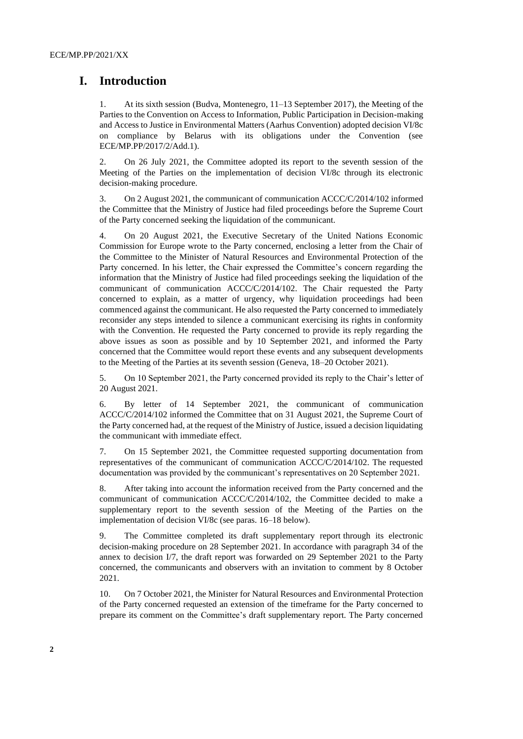## **I. Introduction**

1. At its sixth session (Budva, Montenegro, 11–13 September 2017), the Meeting of the Parties to the Convention on Access to Information, Public Participation in Decision-making and Access to Justice in Environmental Matters (Aarhus Convention) adopted decision VI/8c on compliance by Belarus with its obligations under the Convention (see ECE/MP.PP/2017/2/Add.1).

2. On 26 July 2021, the Committee adopted its report to the seventh session of the Meeting of the Parties on the implementation of decision VI/8c through its electronic decision-making procedure.

3. On 2 August 2021, the communicant of communication ACCC/C/2014/102 informed the Committee that the Ministry of Justice had filed proceedings before the Supreme Court of the Party concerned seeking the liquidation of the communicant.

4. On 20 August 2021, the Executive Secretary of the United Nations Economic Commission for Europe wrote to the Party concerned, enclosing a letter from the Chair of the Committee to the Minister of Natural Resources and Environmental Protection of the Party concerned. In his letter, the Chair expressed the Committee's concern regarding the information that the Ministry of Justice had filed proceedings seeking the liquidation of the communicant of communication ACCC/C/2014/102. The Chair requested the Party concerned to explain, as a matter of urgency, why liquidation proceedings had been commenced against the communicant. He also requested the Party concerned to immediately reconsider any steps intended to silence a communicant exercising its rights in conformity with the Convention. He requested the Party concerned to provide its reply regarding the above issues as soon as possible and by 10 September 2021, and informed the Party concerned that the Committee would report these events and any subsequent developments to the Meeting of the Parties at its seventh session (Geneva, 18–20 October 2021).

5. On 10 September 2021, the Party concerned provided its reply to the Chair's letter of 20 August 2021.

6. By letter of 14 September 2021, the communicant of communication ACCC/C/2014/102 informed the Committee that on 31 August 2021, the Supreme Court of the Party concerned had, at the request of the Ministry of Justice, issued a decision liquidating the communicant with immediate effect.

7. On 15 September 2021, the Committee requested supporting documentation from representatives of the communicant of communication ACCC/C/2014/102. The requested documentation was provided by the communicant's representatives on 20 September 2021.

8. After taking into account the information received from the Party concerned and the communicant of communication ACCC/C/2014/102, the Committee decided to make a supplementary report to the seventh session of the Meeting of the Parties on the implementation of decision VI/8c (see paras. [16–](#page-2-0)[18](#page-2-1) below).

9. The Committee completed its draft supplementary report through its electronic decision-making procedure on 28 September 2021. In accordance with paragraph 34 of the annex to decision I/7, the draft report was forwarded on 29 September 2021 to the Party concerned, the communicants and observers with an invitation to comment by 8 October 2021.

10. On 7 October 2021, the Minister for Natural Resources and Environmental Protection of the Party concerned requested an extension of the timeframe for the Party concerned to prepare its comment on the Committee's draft supplementary report. The Party concerned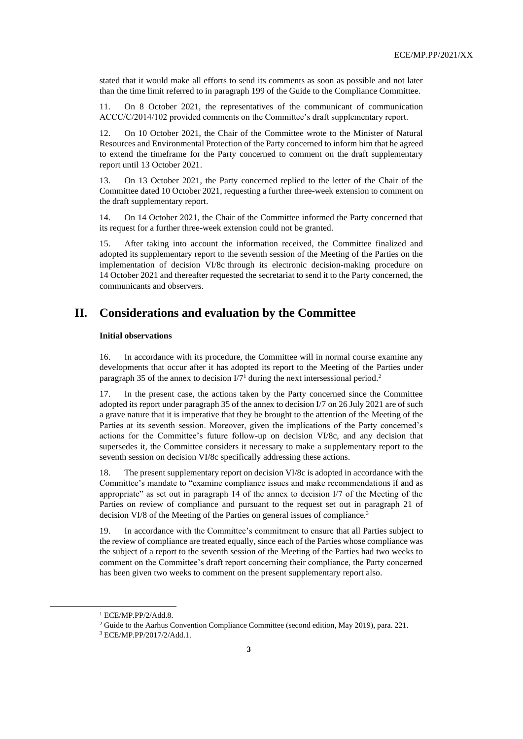stated that it would make all efforts to send its comments as soon as possible and not later than the time limit referred to in paragraph 199 of the Guide to the Compliance Committee.

11. On 8 October 2021, the representatives of the communicant of communication ACCC/C/2014/102 provided comments on the Committee's draft supplementary report.

12. On 10 October 2021, the Chair of the Committee wrote to the Minister of Natural Resources and Environmental Protection of the Party concerned to inform him that he agreed to extend the timeframe for the Party concerned to comment on the draft supplementary report until 13 October 2021.

13. On 13 October 2021, the Party concerned replied to the letter of the Chair of the Committee dated 10 October 2021, requesting a further three-week extension to comment on the draft supplementary report.

14. On 14 October 2021, the Chair of the Committee informed the Party concerned that its request for a further three-week extension could not be granted.

15. After taking into account the information received, the Committee finalized and adopted its supplementary report to the seventh session of the Meeting of the Parties on the implementation of decision VI/8c through its electronic decision-making procedure on 14 October 2021 and thereafter requested the secretariat to send it to the Party concerned, the communicants and observers.

## <span id="page-2-0"></span>**II. Considerations and evaluation by the Committee**

#### **Initial observations**

16. In accordance with its procedure, the Committee will in normal course examine any developments that occur after it has adopted its report to the Meeting of the Parties under paragraph 35 of the annex to decision I/7<sup>1</sup> during the next intersessional period.<sup>2</sup>

17. In the present case, the actions taken by the Party concerned since the Committee adopted its report under paragraph 35 of the annex to decision I/7 on 26 July 2021 are of such a grave nature that it is imperative that they be brought to the attention of the Meeting of the Parties at its seventh session. Moreover, given the implications of the Party concerned's actions for the Committee's future follow-up on decision VI/8c, and any decision that supersedes it, the Committee considers it necessary to make a supplementary report to the seventh session on decision VI/8c specifically addressing these actions.

<span id="page-2-1"></span>18. The present supplementary report on decision VI/8c is adopted in accordance with the Committee's mandate to "examine compliance issues and make recommendations if and as appropriate" as set out in paragraph 14 of the annex to decision I/7 of the Meeting of the Parties on review of compliance and pursuant to the request set out in paragraph 21 of decision VI/8 of the Meeting of the Parties on general issues of compliance.<sup>3</sup>

19. In accordance with the Committee's commitment to ensure that all Parties subject to the review of compliance are treated equally, since each of the Parties whose compliance was the subject of a report to the seventh session of the Meeting of the Parties had two weeks to comment on the Committee's draft report concerning their compliance, the Party concerned has been given two weeks to comment on the present supplementary report also.

<sup>1</sup> ECE/MP.PP/2/Add.8.

<sup>&</sup>lt;sup>2</sup> Guide to the Aarhus Convention Compliance Committee (second edition, May 2019), para. 221.

<sup>3</sup> ECE/MP.PP/2017/2/Add.1.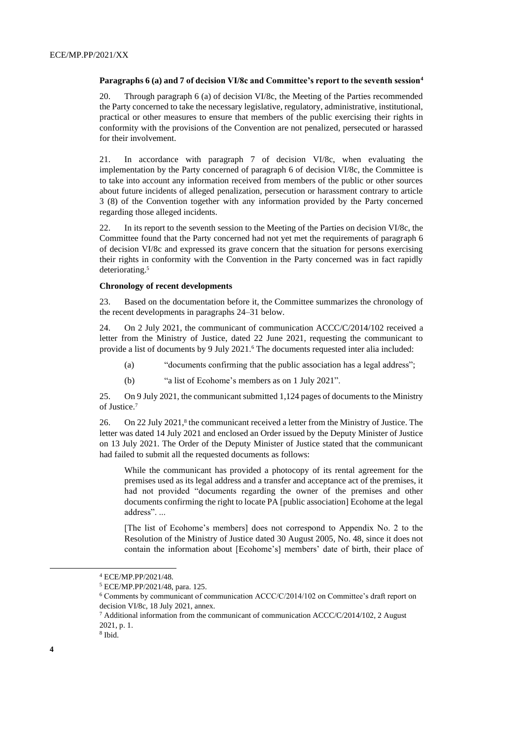#### **Paragraphs 6 (a) and 7 of decision VI/8c and Committee's report to the seventh session<sup>4</sup>**

20. Through paragraph 6 (a) of decision VI/8c, the Meeting of the Parties recommended the Party concerned to take the necessary legislative, regulatory, administrative, institutional, practical or other measures to ensure that members of the public exercising their rights in conformity with the provisions of the Convention are not penalized, persecuted or harassed for their involvement.

21. In accordance with paragraph 7 of decision VI/8c, when evaluating the implementation by the Party concerned of paragraph 6 of decision VI/8c, the Committee is to take into account any information received from members of the public or other sources about future incidents of alleged penalization, persecution or harassment contrary to article 3 (8) of the Convention together with any information provided by the Party concerned regarding those alleged incidents.

22. In its report to the seventh session to the Meeting of the Parties on decision VI/8c, the Committee found that the Party concerned had not yet met the requirements of paragraph 6 of decision VI/8c and expressed its grave concern that the situation for persons exercising their rights in conformity with the Convention in the Party concerned was in fact rapidly deteriorating. 5

#### **Chronology of recent developments**

23. Based on the documentation before it, the Committee summarizes the chronology of the recent developments in paragraph[s 24](#page-3-0)[–31](#page-4-0) below.

<span id="page-3-0"></span>24. On 2 July 2021, the communicant of communication ACCC/C/2014/102 received a letter from the Ministry of Justice, dated 22 June 2021, requesting the communicant to provide a list of documents by 9 July 2021.<sup>6</sup> The documents requested inter alia included:

- (a) "documents confirming that the public association has a legal address";
- (b) "a list of Ecohome's members as on 1 July 2021".

25. On 9 July 2021, the communicant submitted 1,124 pages of documents to the Ministry of Justice.<sup>7</sup>

<span id="page-3-1"></span>26. On 22 July 2021,<sup>8</sup> the communicant received a letter from the Ministry of Justice. The letter was dated 14 July 2021 and enclosed an Order issued by the Deputy Minister of Justice on 13 July 2021. The Order of the Deputy Minister of Justice stated that the communicant had failed to submit all the requested documents as follows:

While the communicant has provided a photocopy of its rental agreement for the premises used as its legal address and a transfer and acceptance act of the premises, it had not provided "documents regarding the owner of the premises and other documents confirming the right to locate PA [public association] Ecohome at the legal address". ...

[The list of Ecohome's members] does not correspond to Appendix No. 2 to the Resolution of the Ministry of Justice dated 30 August 2005, No. 48, since it does not contain the information about [Ecohome's] members' date of birth, their place of

<sup>4</sup> ECE/MP.PP/2021/48.

<sup>5</sup> ECE/MP.PP/2021/48, para. 125.

<sup>6</sup> Comments by communicant of communication ACCC/C/2014/102 on Committee's draft report on decision VI/8c, 18 July 2021, annex.

<sup>&</sup>lt;sup>7</sup> Additional information from the communicant of communication  $ACCC/C/2014/102$ , 2 August 2021, p. 1.

<sup>8</sup> Ibid.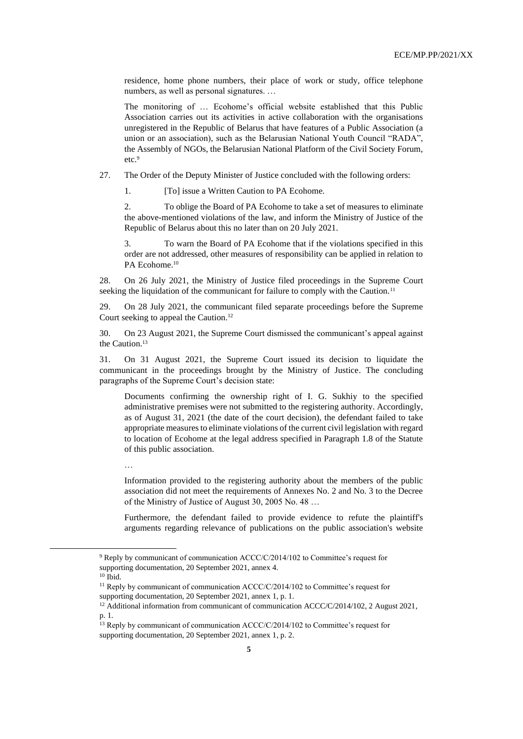residence, home phone numbers, their place of work or study, office telephone numbers, as well as personal signatures. …

The monitoring of … Ecohome's official website established that this Public Association carries out its activities in active collaboration with the organisations unregistered in the Republic of Belarus that have features of a Public Association (a union or an association), such as the Belarusian National Youth Council "RADA", the Assembly of NGOs, the Belarusian National Platform of the Civil Society Forum, etc.<sup>9</sup>

27. The Order of the Deputy Minister of Justice concluded with the following orders:

1. [To] issue a Written Caution to PA Ecohome.

2. To oblige the Board of PA Ecohome to take a set of measures to eliminate the above-mentioned violations of the law, and inform the Ministry of Justice of the Republic of Belarus about this no later than on 20 July 2021.

3. To warn the Board of PA Ecohome that if the violations specified in this order are not addressed, other measures of responsibility can be applied in relation to PA Ecohome.<sup>10</sup>

28. On 26 July 2021, the Ministry of Justice filed proceedings in the Supreme Court seeking the liquidation of the communicant for failure to comply with the Caution.<sup>11</sup>

29. On 28 July 2021, the communicant filed separate proceedings before the Supreme Court seeking to appeal the Caution.<sup>12</sup>

30. On 23 August 2021, the Supreme Court dismissed the communicant's appeal against the Caution.<sup>13</sup>

<span id="page-4-0"></span>31. On 31 August 2021, the Supreme Court issued its decision to liquidate the communicant in the proceedings brought by the Ministry of Justice. The concluding paragraphs of the Supreme Court's decision state:

Documents confirming the ownership right of I. G. Sukhiy to the specified administrative premises were not submitted to the registering authority. Accordingly, as of August 31, 2021 (the date of the court decision), the defendant failed to take appropriate measures to eliminate violations of the current civil legislation with regard to location of Ecohome at the legal address specified in Paragraph 1.8 of the Statute of this public association.

…

Information provided to the registering authority about the members of the public association did not meet the requirements of Annexes No. 2 and No. 3 to the Decree of the Ministry of Justice of August 30, 2005 No. 48 …

Furthermore, the defendant failed to provide evidence to refute the plaintiff's arguments regarding relevance of publications on the public association's website

<sup>&</sup>lt;sup>9</sup> Reply by communicant of communication ACCC/C/2014/102 to Committee's request for supporting documentation, 20 September 2021, annex 4.

 $10$  Ibid.

<sup>&</sup>lt;sup>11</sup> Reply by communicant of communication ACCC/C/2014/102 to Committee's request for supporting documentation, 20 September 2021, annex 1, p. 1.

<sup>&</sup>lt;sup>12</sup> Additional information from communicant of communication ACCC/C/2014/102, 2 August 2021, p. 1.

 $13$  Reply by communicant of communication ACCC/C/2014/102 to Committee's request for supporting documentation, 20 September 2021, annex 1, p. 2.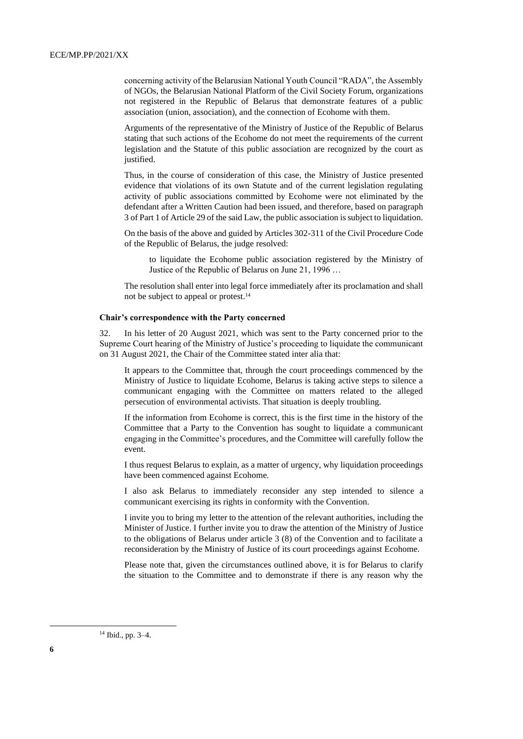concerning activity of the Belarusian National Youth Council "RADA", the Assembly of NGOs, the Belarusian National Platform of the Civil Society Forum, organizations not registered in the Republic of Belarus that demonstrate features of a public association (union, association), and the connection of Ecohome with them.

Arguments of the representative of the Ministry of Justice of the Republic of Belarus stating that such actions of the Ecohome do not meet the requirements of the current legislation and the Statute of this public association are recognized by the court as justified.

Thus, in the course of consideration of this case, the Ministry of Justice presented evidence that violations of its own Statute and of the current legislation regulating activity of public associations committed by Ecohome were not eliminated by the defendant after a Written Caution had been issued, and therefore, based on paragraph 3 of Part 1 of Article 29 of the said Law, the public association is subject to liquidation.

On the basis of the above and guided by Articles 302-311 of the Civil Procedure Code of the Republic of Belarus, the judge resolved:

to liquidate the Ecohome public association registered by the Ministry of Justice of the Republic of Belarus on June 21, 1996 …

The resolution shall enter into legal force immediately after its proclamation and shall not be subject to appeal or protest.<sup>14</sup>

#### **Chair's correspondence with the Party concerned**

32. In his letter of 20 August 2021, which was sent to the Party concerned prior to the Supreme Court hearing of the Ministry of Justice's proceeding to liquidate the communicant on 31 August 2021, the Chair of the Committee stated inter alia that:

It appears to the Committee that, through the court proceedings commenced by the Ministry of Justice to liquidate Ecohome, Belarus is taking active steps to silence a communicant engaging with the Committee on matters related to the alleged persecution of environmental activists. That situation is deeply troubling.

If the information from Ecohome is correct, this is the first time in the history of the Committee that a Party to the Convention has sought to liquidate a communicant engaging in the Committee's procedures, and the Committee will carefully follow the event.

I thus request Belarus to explain, as a matter of urgency, why liquidation proceedings have been commenced against Ecohome.

I also ask Belarus to immediately reconsider any step intended to silence a communicant exercising its rights in conformity with the Convention.

I invite you to bring my letter to the attention of the relevant authorities, including the Minister of Justice. I further invite you to draw the attention of the Ministry of Justice to the obligations of Belarus under article 3 (8) of the Convention and to facilitate a reconsideration by the Ministry of Justice of its court proceedings against Ecohome.

Please note that, given the circumstances outlined above, it is for Belarus to clarify the situation to the Committee and to demonstrate if there is any reason why the

<sup>14</sup> Ibid., pp. 3–4.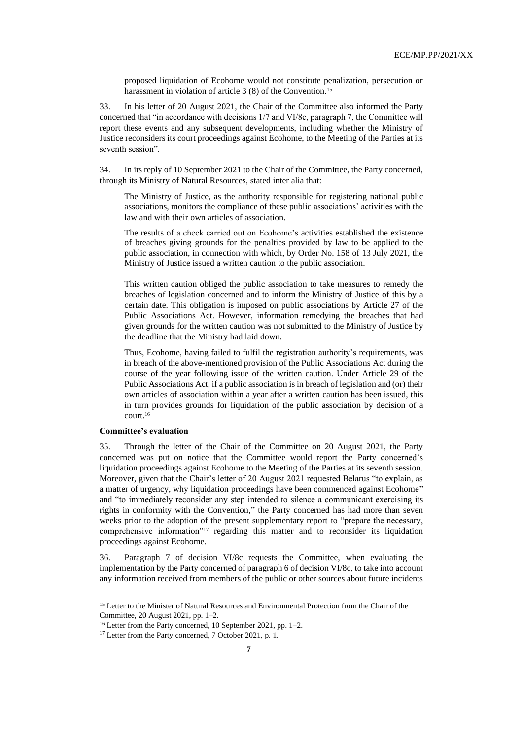proposed liquidation of Ecohome would not constitute penalization, persecution or harassment in violation of article 3 (8) of the Convention.<sup>15</sup>

33. In his letter of 20 August 2021, the Chair of the Committee also informed the Party concerned that "in accordance with decisions 1/7 and VI/8c, paragraph 7, the Committee will report these events and any subsequent developments, including whether the Ministry of Justice reconsiders its court proceedings against Ecohome, to the Meeting of the Parties at its seventh session".

34. In its reply of 10 September 2021 to the Chair of the Committee, the Party concerned, through its Ministry of Natural Resources, stated inter alia that:

The Ministry of Justice, as the authority responsible for registering national public associations, monitors the compliance of these public associations' activities with the law and with their own articles of association.

The results of a check carried out on Ecohome's activities established the existence of breaches giving grounds for the penalties provided by law to be applied to the public association, in connection with which, by Order No. 158 of 13 July 2021, the Ministry of Justice issued a written caution to the public association.

This written caution obliged the public association to take measures to remedy the breaches of legislation concerned and to inform the Ministry of Justice of this by a certain date. This obligation is imposed on public associations by Article 27 of the Public Associations Act. However, information remedying the breaches that had given grounds for the written caution was not submitted to the Ministry of Justice by the deadline that the Ministry had laid down.

Thus, Ecohome, having failed to fulfil the registration authority's requirements, was in breach of the above-mentioned provision of the Public Associations Act during the course of the year following issue of the written caution. Under Article 29 of the Public Associations Act, if a public association is in breach of legislation and (or) their own articles of association within a year after a written caution has been issued, this in turn provides grounds for liquidation of the public association by decision of a court. 16

#### **Committee's evaluation**

35. Through the letter of the Chair of the Committee on 20 August 2021, the Party concerned was put on notice that the Committee would report the Party concerned's liquidation proceedings against Ecohome to the Meeting of the Parties at its seventh session. Moreover, given that the Chair's letter of 20 August 2021 requested Belarus "to explain, as a matter of urgency, why liquidation proceedings have been commenced against Ecohome" and "to immediately reconsider any step intended to silence a communicant exercising its rights in conformity with the Convention," the Party concerned has had more than seven weeks prior to the adoption of the present supplementary report to "prepare the necessary, comprehensive information"<sup>17</sup> regarding this matter and to reconsider its liquidation proceedings against Ecohome.

36. Paragraph 7 of decision VI/8c requests the Committee, when evaluating the implementation by the Party concerned of paragraph 6 of decision VI/8c, to take into account any information received from members of the public or other sources about future incidents

<sup>&</sup>lt;sup>15</sup> Letter to the Minister of Natural Resources and Environmental Protection from the Chair of the Committee, 20 August 2021, pp. 1–2.

<sup>16</sup> Letter from the Party concerned, 10 September 2021, pp. 1–2.

<sup>&</sup>lt;sup>17</sup> Letter from the Party concerned, 7 October 2021, p. 1.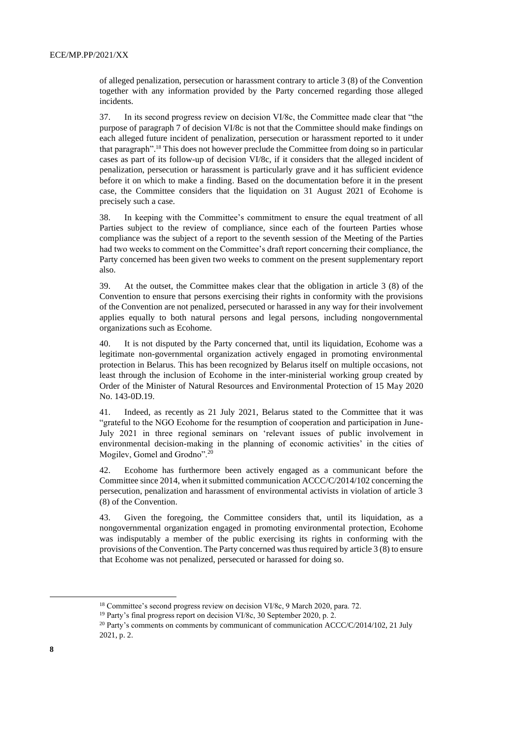of alleged penalization, persecution or harassment contrary to article 3 (8) of the Convention together with any information provided by the Party concerned regarding those alleged incidents.

37. In its second progress review on decision VI/8c, the Committee made clear that "the purpose of paragraph 7 of decision VI/8c is not that the Committee should make findings on each alleged future incident of penalization, persecution or harassment reported to it under that paragraph". <sup>18</sup> This does not however preclude the Committee from doing so in particular cases as part of its follow-up of decision VI/8c, if it considers that the alleged incident of penalization, persecution or harassment is particularly grave and it has sufficient evidence before it on which to make a finding. Based on the documentation before it in the present case, the Committee considers that the liquidation on 31 August 2021 of Ecohome is precisely such a case.

38. In keeping with the Committee's commitment to ensure the equal treatment of all Parties subject to the review of compliance, since each of the fourteen Parties whose compliance was the subject of a report to the seventh session of the Meeting of the Parties had two weeks to comment on the Committee's draft report concerning their compliance, the Party concerned has been given two weeks to comment on the present supplementary report also.

39. At the outset, the Committee makes clear that the obligation in article 3 (8) of the Convention to ensure that persons exercising their rights in conformity with the provisions of the Convention are not penalized, persecuted or harassed in any way for their involvement applies equally to both natural persons and legal persons, including nongovernmental organizations such as Ecohome.

40. It is not disputed by the Party concerned that, until its liquidation, Ecohome was a legitimate non-governmental organization actively engaged in promoting environmental protection in Belarus. This has been recognized by Belarus itself on multiple occasions, not least through the inclusion of Ecohome in the inter-ministerial working group created by Order of the Minister of Natural Resources and Environmental Protection of 15 May 2020 No. 143-0D.19.

41. Indeed, as recently as 21 July 2021, Belarus stated to the Committee that it was "grateful to the NGO Ecohome for the resumption of cooperation and participation in June-July 2021 in three regional seminars on 'relevant issues of public involvement in environmental decision-making in the planning of economic activities' in the cities of Mogilev, Gomel and Grodno".<sup>20</sup>

42. Ecohome has furthermore been actively engaged as a communicant before the Committee since 2014, when it submitted communication ACCC/C/2014/102 concerning the persecution, penalization and harassment of environmental activists in violation of article 3 (8) of the Convention.

43. Given the foregoing, the Committee considers that, until its liquidation, as a nongovernmental organization engaged in promoting environmental protection, Ecohome was indisputably a member of the public exercising its rights in conforming with the provisions of the Convention. The Party concerned was thus required by article 3 (8) to ensure that Ecohome was not penalized, persecuted or harassed for doing so.

<sup>&</sup>lt;sup>18</sup> Committee's second progress review on decision VI/8c, 9 March 2020, para. 72.

<sup>&</sup>lt;sup>19</sup> Party's final progress report on decision VI/8c, 30 September 2020, p. 2.

<sup>&</sup>lt;sup>20</sup> Party's comments on comments by communicant of communication ACCC/C/2014/102, 21 July 2021, p. 2.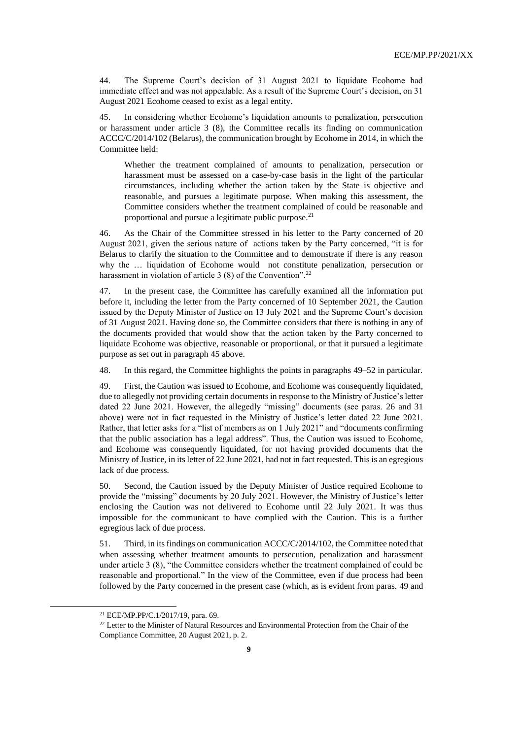44. The Supreme Court's decision of 31 August 2021 to liquidate Ecohome had immediate effect and was not appealable. As a result of the Supreme Court's decision, on 31 August 2021 Ecohome ceased to exist as a legal entity.

<span id="page-8-0"></span>45. In considering whether Ecohome's liquidation amounts to penalization, persecution or harassment under article 3 (8), the Committee recalls its finding on communication ACCC/C/2014/102 (Belarus), the communication brought by Ecohome in 2014, in which the Committee held:

Whether the treatment complained of amounts to penalization, persecution or harassment must be assessed on a case-by-case basis in the light of the particular circumstances, including whether the action taken by the State is objective and reasonable, and pursues a legitimate purpose. When making this assessment, the Committee considers whether the treatment complained of could be reasonable and proportional and pursue a legitimate public purpose.<sup>21</sup>

46. As the Chair of the Committee stressed in his letter to the Party concerned of 20 August 2021, given the serious nature of actions taken by the Party concerned, "it is for Belarus to clarify the situation to the Committee and to demonstrate if there is any reason why the … liquidation of Ecohome would not constitute penalization, persecution or harassment in violation of article 3 (8) of the Convention".<sup>22</sup>

47. In the present case, the Committee has carefully examined all the information put before it, including the letter from the Party concerned of 10 September 2021, the Caution issued by the Deputy Minister of Justice on 13 July 2021 and the Supreme Court's decision of 31 August 2021. Having done so, the Committee considers that there is nothing in any of the documents provided that would show that the action taken by the Party concerned to liquidate Ecohome was objective, reasonable or proportional, or that it pursued a legitimate purpose as set out in paragraph [45](#page-8-0) above.

48. In this regard, the Committee highlights the points in paragraphs [49](#page-8-1)[–52](#page-9-0) in particular.

<span id="page-8-1"></span>49. First, the Caution was issued to Ecohome, and Ecohome was consequently liquidated, due to allegedly not providing certain documents in response to the Ministry of Justice's letter dated 22 June 2021. However, the allegedly "missing" documents (see paras. [26](#page-3-1) and [31](#page-4-0) above) were not in fact requested in the Ministry of Justice's letter dated 22 June 2021. Rather, that letter asks for a "list of members as on 1 July 2021" and "documents confirming that the public association has a legal address". Thus, the Caution was issued to Ecohome, and Ecohome was consequently liquidated, for not having provided documents that the Ministry of Justice, in its letter of 22 June 2021, had not in fact requested. This is an egregious lack of due process.

<span id="page-8-2"></span>50. Second, the Caution issued by the Deputy Minister of Justice required Ecohome to provide the "missing" documents by 20 July 2021. However, the Ministry of Justice's letter enclosing the Caution was not delivered to Ecohome until 22 July 2021. It was thus impossible for the communicant to have complied with the Caution. This is a further egregious lack of due process.

51. Third, in its findings on communication ACCC/C/2014/102, the Committee noted that when assessing whether treatment amounts to persecution, penalization and harassment under article 3 (8), "the Committee considers whether the treatment complained of could be reasonable and proportional." In the view of the Committee, even if due process had been followed by the Party concerned in the present case (which, as is evident from paras. [49](#page-8-1) and

<sup>21</sup> ECE/MP.PP/C.1/2017/19, para. 69.

<sup>&</sup>lt;sup>22</sup> [Letter to the Minister of Natural Resources and Environmental Protection](https://unece.org/sites/default/files/2021-08/toPartyVI.8c_from_ACCC_Chair_20.08.2021.pdf) from the Chair of the Compliance Committee, 20 August 2021, p. 2.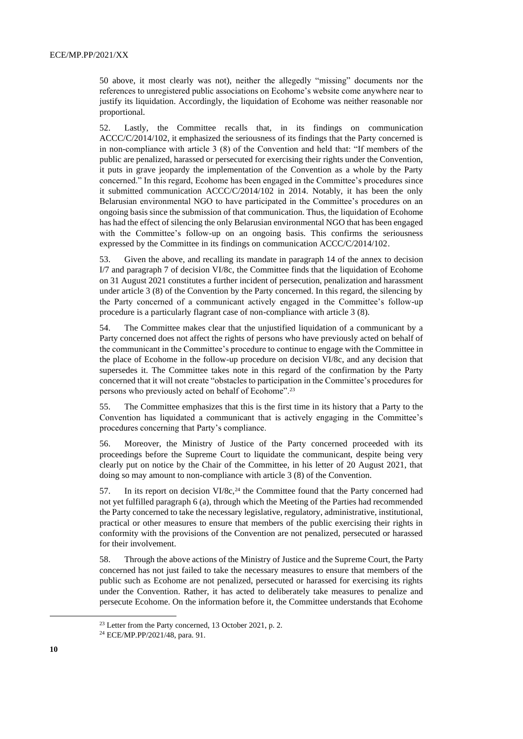[50](#page-8-2) above, it most clearly was not), neither the allegedly "missing" documents nor the references to unregistered public associations on Ecohome's website come anywhere near to justify its liquidation. Accordingly, the liquidation of Ecohome was neither reasonable nor proportional.

<span id="page-9-0"></span>52. Lastly, the Committee recalls that, in its findings on communication ACCC/C/2014/102, it emphasized the seriousness of its findings that the Party concerned is in non-compliance with article 3 (8) of the Convention and held that: "If members of the public are penalized, harassed or persecuted for exercising their rights under the Convention, it puts in grave jeopardy the implementation of the Convention as a whole by the Party concerned." In this regard, Ecohome has been engaged in the Committee's procedures since it submitted communication ACCC/C/2014/102 in 2014. Notably, it has been the only Belarusian environmental NGO to have participated in the Committee's procedures on an ongoing basis since the submission of that communication. Thus, the liquidation of Ecohome has had the effect of silencing the only Belarusian environmental NGO that has been engaged with the Committee's follow-up on an ongoing basis. This confirms the seriousness expressed by the Committee in its findings on communication ACCC/C/2014/102.

53. Given the above, and recalling its mandate in paragraph 14 of the annex to decision I/7 and paragraph 7 of decision VI/8c, the Committee finds that the liquidation of Ecohome on 31 August 2021 constitutes a further incident of persecution, penalization and harassment under article 3 (8) of the Convention by the Party concerned. In this regard, the silencing by the Party concerned of a communicant actively engaged in the Committee's follow-up procedure is a particularly flagrant case of non-compliance with article 3 (8).

54. The Committee makes clear that the unjustified liquidation of a communicant by a Party concerned does not affect the rights of persons who have previously acted on behalf of the communicant in the Committee's procedure to continue to engage with the Committee in the place of Ecohome in the follow-up procedure on decision VI/8c, and any decision that supersedes it. The Committee takes note in this regard of the confirmation by the Party concerned that it will not create "obstacles to participation in the Committee's procedures for persons who previously acted on behalf of Ecohome".<sup>23</sup>

55. The Committee emphasizes that this is the first time in its history that a Party to the Convention has liquidated a communicant that is actively engaging in the Committee's procedures concerning that Party's compliance.

56. Moreover, the Ministry of Justice of the Party concerned proceeded with its proceedings before the Supreme Court to liquidate the communicant, despite being very clearly put on notice by the Chair of the Committee, in his letter of 20 August 2021, that doing so may amount to non-compliance with article 3 (8) of the Convention.

57. In its report on decision VI/8c,  $24$  the Committee found that the Party concerned had not yet fulfilled paragraph 6 (a), through which the Meeting of the Parties had recommended the Party concerned to take the necessary legislative, regulatory, administrative, institutional, practical or other measures to ensure that members of the public exercising their rights in conformity with the provisions of the Convention are not penalized, persecuted or harassed for their involvement.

58. Through the above actions of the Ministry of Justice and the Supreme Court, the Party concerned has not just failed to take the necessary measures to ensure that members of the public such as Ecohome are not penalized, persecuted or harassed for exercising its rights under the Convention. Rather, it has acted to deliberately take measures to penalize and persecute Ecohome. On the information before it, the Committee understands that Ecohome

<sup>23</sup> Letter from the Party concerned, 13 October 2021, p. 2.

<sup>24</sup> ECE/MP.PP/2021/48, para. 91.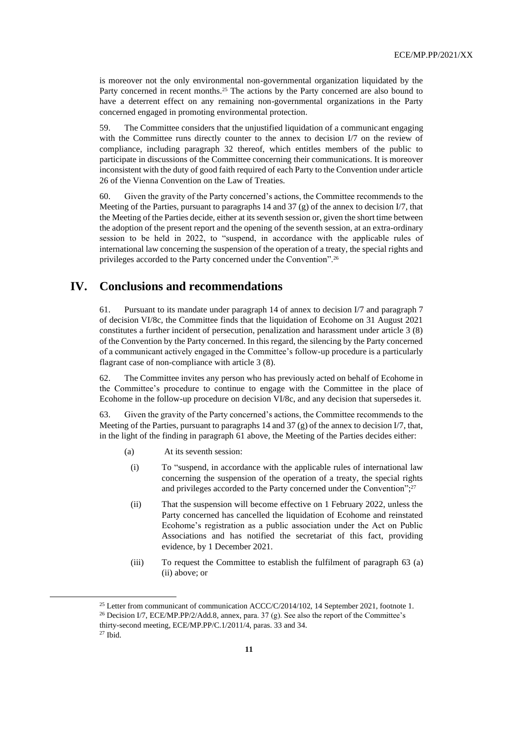is moreover not the only environmental non-governmental organization liquidated by the Party concerned in recent months.<sup>25</sup> The actions by the Party concerned are also bound to have a deterrent effect on any remaining non-governmental organizations in the Party concerned engaged in promoting environmental protection.

59. The Committee considers that the unjustified liquidation of a communicant engaging with the Committee runs directly counter to the annex to decision I/7 on the review of compliance, including paragraph 32 thereof, which entitles members of the public to participate in discussions of the Committee concerning their communications. It is moreover inconsistent with the duty of good faith required of each Party to the Convention under article 26 of the Vienna Convention on the Law of Treaties.

60. Given the gravity of the Party concerned's actions, the Committee recommends to the Meeting of the Parties, pursuant to paragraphs 14 and 37 (g) of the annex to decision I/7, that the Meeting of the Parties decide, either at its seventh session or, given the short time between the adoption of the present report and the opening of the seventh session, at an extra-ordinary session to be held in 2022, to "suspend, in accordance with the applicable rules of international law concerning the suspension of the operation of a treaty, the special rights and privileges accorded to the Party concerned under the Convention".<sup>26</sup>

### <span id="page-10-0"></span>**IV. Conclusions and recommendations**

61. Pursuant to its mandate under paragraph 14 of annex to decision I/7 and paragraph 7 of decision VI/8c, the Committee finds that the liquidation of Ecohome on 31 August 2021 constitutes a further incident of persecution, penalization and harassment under article 3 (8) of the Convention by the Party concerned. In this regard, the silencing by the Party concerned of a communicant actively engaged in the Committee's follow-up procedure is a particularly flagrant case of non-compliance with article 3 (8).

62. The Committee invites any person who has previously acted on behalf of Ecohome in the Committee's procedure to continue to engage with the Committee in the place of Ecohome in the follow-up procedure on decision VI/8c, and any decision that supersedes it.

<span id="page-10-1"></span>63. Given the gravity of the Party concerned's actions, the Committee recommends to the Meeting of the Parties, pursuant to paragraphs 14 and 37 (g) of the annex to decision I/7, that, in the light of the finding in paragraph [61](#page-10-0) above, the Meeting of the Parties decides either:

- (a) At its seventh session:
	- (i) To "suspend, in accordance with the applicable rules of international law concerning the suspension of the operation of a treaty, the special rights and privileges accorded to the Party concerned under the Convention";<sup>27</sup>
	- (ii) That the suspension will become effective on 1 February 2022, unless the Party concerned has cancelled the liquidation of Ecohome and reinstated Ecohome's registration as a public association under the Act on Public Associations and has notified the secretariat of this fact, providing evidence, by 1 December 2021.
	- (iii) To request the Committee to establish the fulfilment of paragraph [63](#page-10-1) (a) (ii) above; or

<sup>&</sup>lt;sup>25</sup> Letter from communicant of communication ACCC/C/2014/102, 14 September 2021, footnote 1.

<sup>&</sup>lt;sup>26</sup> Decision I/7, ECE/MP.PP/2/Add.8, annex, para. 37 (g). See also the report of the Committee's thirty-second meeting, ECE/MP.PP/C.1/2011/4, paras. 33 and 34.

<sup>27</sup> Ibid.